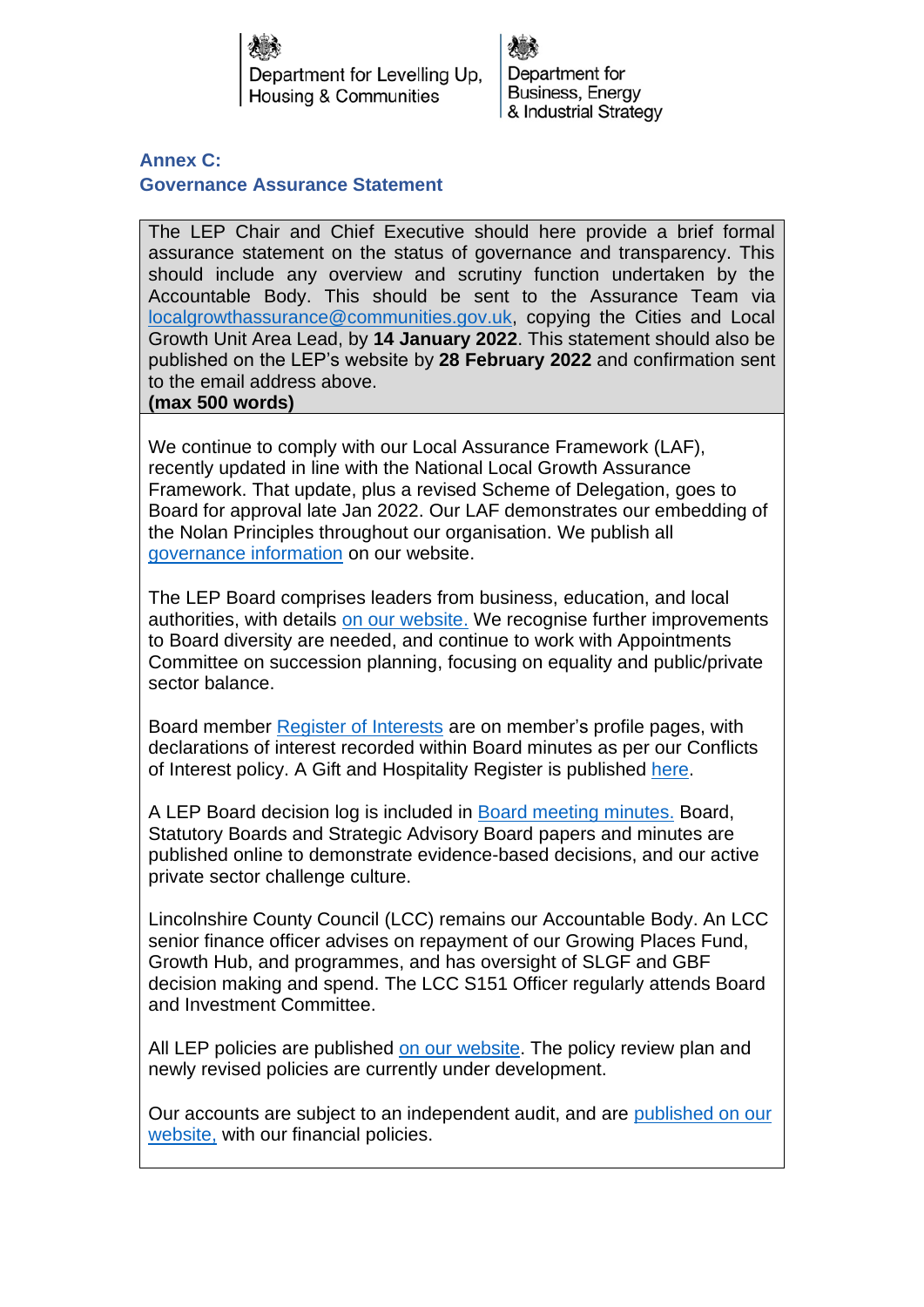Department for Levelling Up. Housing & Communities

Department for Business, Energy & Industrial Strategy

**Annex C: Governance Assurance Statement**

The LEP Chair and Chief Executive should here provide a brief formal assurance statement on the status of governance and transparency. This should include any overview and scrutiny function undertaken by the Accountable Body. This should be sent to the Assurance Team via [localgrowthassurance@communities.gov.uk,](mailto:localgrowthassurance@communities.gov.uk) copying the Cities and Local Growth Unit Area Lead, by **14 January 2022**. This statement should also be published on the LEP's website by **28 February 2022** and confirmation sent to the email address above.

**(max 500 words)**

We continue to comply with our Local Assurance Framework (LAF), recently updated in line with the National Local Growth Assurance Framework. That update, plus a revised Scheme of Delegation, goes to Board for approval late Jan 2022. Our LAF demonstrates our embedding of the Nolan Principles throughout our organisation. We publish all [governance information](https://www.greaterlincolnshirelep.co.uk/about/corporate-governance/) on our website.

The LEP Board comprises leaders from business, education, and local authorities, with details [on our website.](https://www.greaterlincolnshirelep.co.uk/about/boards/lep-board/) We recognise further improvements to Board diversity are needed, and continue to work with Appointments Committee on succession planning, focusing on equality and public/private sector balance.

Board member [Register of Interests](https://www.greaterlincolnshirelep.co.uk/about/boards/lep-board/) are on member's profile pages, with declarations of interest recorded within Board minutes as per our Conflicts of Interest policy. A Gift and Hospitality Register is published [here.](https://www.greaterlincolnshirelep.co.uk/assets/documents/GLLEP_Gift_and_Hospitality_Register_%282021%29.pdf)

A LEP Board decision log is included in [Board meeting](https://www.greaterlincolnshirelep.co.uk/assets/documents/GLLEP_Board_Agenda_and_Papers_-_26th_November_2021_V2.pdf) minutes. Board, Statutory Boards and Strategic Advisory Board papers and minutes are published online to demonstrate evidence-based decisions, and our active private sector challenge culture.

Lincolnshire County Council (LCC) remains our Accountable Body. An LCC senior finance officer advises on repayment of our Growing Places Fund, Growth Hub, and programmes, and has oversight of SLGF and GBF decision making and spend. The LCC S151 Officer regularly attends Board and Investment Committee.

All LEP policies are published [on our website.](https://www.greaterlincolnshirelep.co.uk/about/corporate-governance/lep-policies/) The policy review plan and newly revised policies are currently under development.

Our accounts are subject to an independent audit, and are [published on our](https://www.greaterlincolnshirelep.co.uk/about/corporate-governance/lep-finance/)  [website,](https://www.greaterlincolnshirelep.co.uk/about/corporate-governance/lep-finance/) with our financial policies.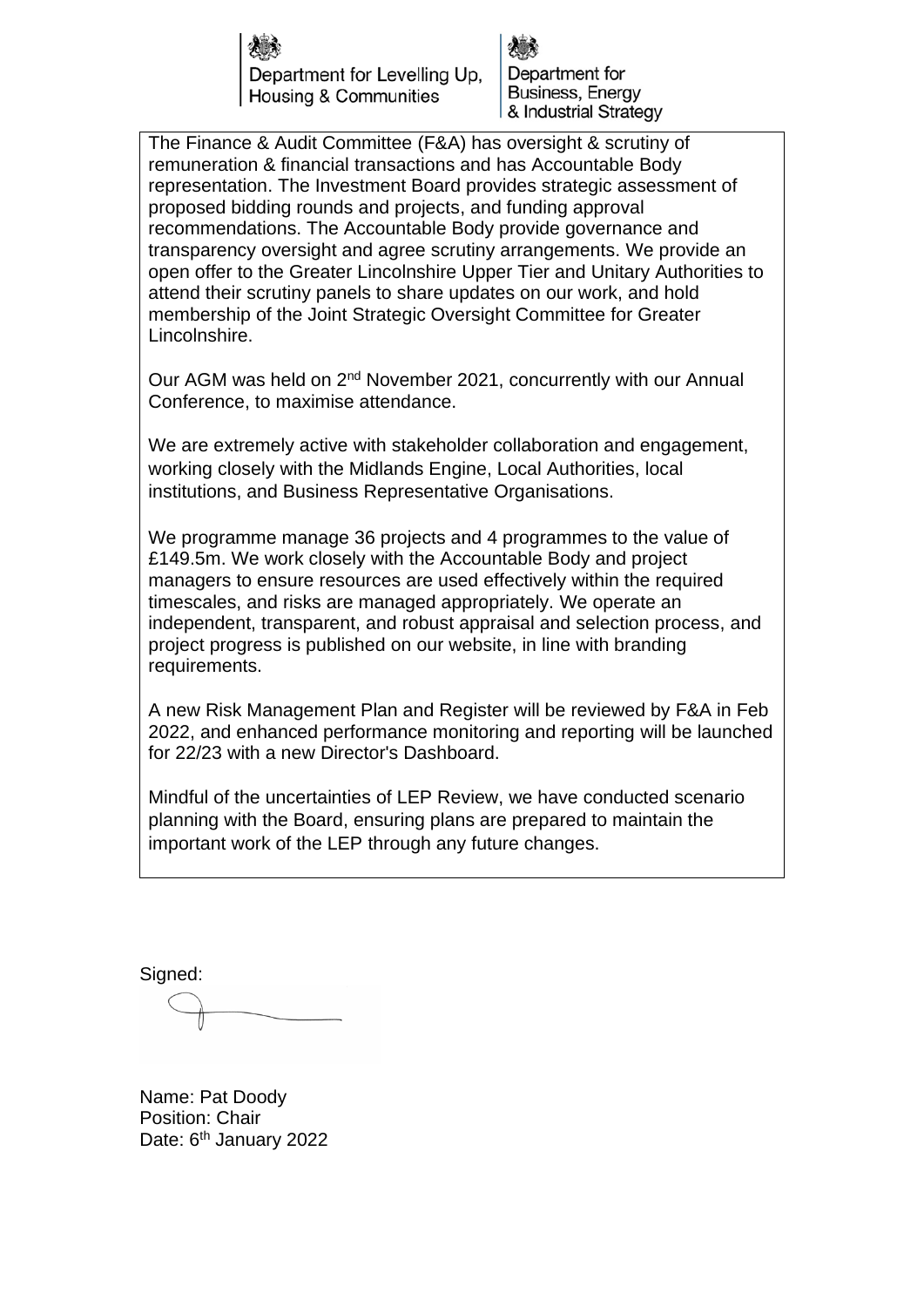Department for Levelling Up. Housing & Communities

Department for Business, Energy & Industrial Strategy

The Finance & Audit Committee (F&A) has oversight & scrutiny of remuneration & financial transactions and has Accountable Body representation. The Investment Board provides strategic assessment of proposed bidding rounds and projects, and funding approval recommendations. The Accountable Body provide governance and transparency oversight and agree scrutiny arrangements. We provide an open offer to the Greater Lincolnshire Upper Tier and Unitary Authorities to attend their scrutiny panels to share updates on our work, and hold membership of the Joint Strategic Oversight Committee for Greater Lincolnshire.

Our AGM was held on 2nd November 2021, concurrently with our Annual Conference, to maximise attendance.

We are extremely active with stakeholder collaboration and engagement, working closely with the Midlands Engine, Local Authorities, local institutions, and Business Representative Organisations.

We programme manage 36 projects and 4 programmes to the value of £149.5m. We work closely with the Accountable Body and project managers to ensure resources are used effectively within the required timescales, and risks are managed appropriately. We operate an independent, transparent, and robust appraisal and selection process, and project progress is published on our website, in line with branding requirements.

A new Risk Management Plan and Register will be reviewed by F&A in Feb 2022, and enhanced performance monitoring and reporting will be launched for 22/23 with a new Director's Dashboard.

Mindful of the uncertainties of LEP Review, we have conducted scenario planning with the Board, ensuring plans are prepared to maintain the important work of the LEP through any future changes.

Signed:

Name: Pat Doody Position: Chair Date: 6<sup>th</sup> January 2022